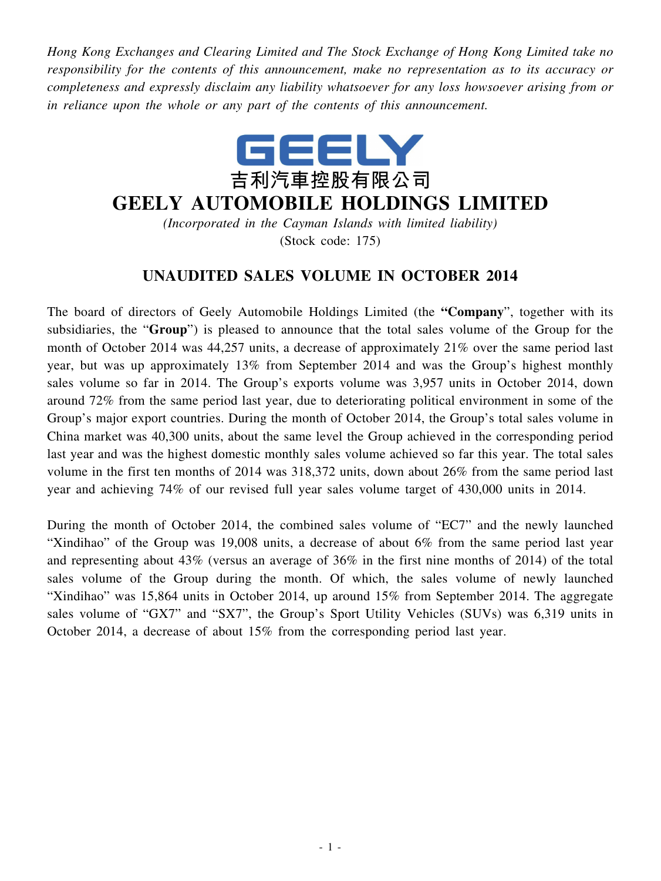*Hong Kong Exchanges and Clearing Limited and The Stock Exchange of Hong Kong Limited take no responsibility for the contents of this announcement, make no representation as to its accuracy or completeness and expressly disclaim any liability whatsoever for any loss howsoever arising from or in reliance upon the whole or any part of the contents of this announcement.*



## **GEELY AUTOMOBILE HOLDINGS LIMITED**

*(Incorporated in the Cayman Islands with limited liability)* (Stock code: 175)

## **UNAUDITED SALES VOLUME IN OCTOBER 2014**

The board of directors of Geely Automobile Holdings Limited (the **"Company**", together with its subsidiaries, the "**Group**") is pleased to announce that the total sales volume of the Group for the month of October 2014 was 44,257 units, a decrease of approximately 21% over the same period last year, but was up approximately 13% from September 2014 and was the Group's highest monthly sales volume so far in 2014. The Group's exports volume was 3,957 units in October 2014, down around 72% from the same period last year, due to deteriorating political environment in some of the Group's major export countries. During the month of October 2014, the Group's total sales volume in China market was 40,300 units, about the same level the Group achieved in the corresponding period last year and was the highest domestic monthly sales volume achieved so far this year. The total sales volume in the first ten months of 2014 was 318,372 units, down about 26% from the same period last year and achieving 74% of our revised full year sales volume target of 430,000 units in 2014.

During the month of October 2014, the combined sales volume of "EC7" and the newly launched "Xindihao" of the Group was 19,008 units, a decrease of about 6% from the same period last year and representing about 43% (versus an average of 36% in the first nine months of 2014) of the total sales volume of the Group during the month. Of which, the sales volume of newly launched "Xindihao" was 15,864 units in October 2014, up around 15% from September 2014. The aggregate sales volume of "GX7" and "SX7", the Group's Sport Utility Vehicles (SUVs) was 6,319 units in October 2014, a decrease of about 15% from the corresponding period last year.